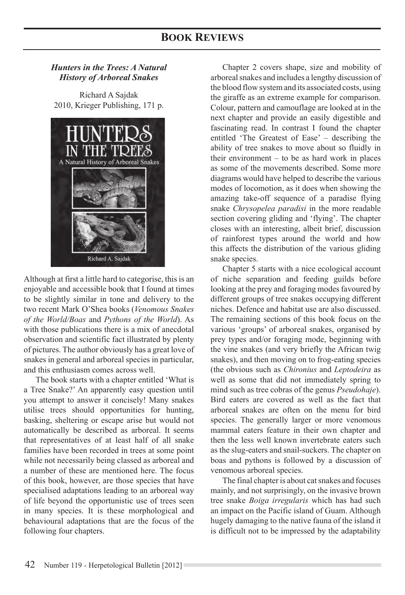## *Hunters in the Trees: A Natural History of Arboreal Snakes*

Richard A Sajdak 2010, Krieger Publishing, 171 p.



Although at first a little hard to categorise, this is an enjoyable and accessible book that I found at times to be slightly similar in tone and delivery to the two recent Mark O'Shea books (*Venomous Snakes of the World/Boas* and *Pythons of the World*). As with those publications there is a mix of anecdotal observation and scientific fact illustrated by plenty of pictures. The author obviously has a great love of snakes in general and arboreal species in particular, and this enthusiasm comes across well.

The book starts with a chapter entitled 'What is a Tree Snake?' An apparently easy question until you attempt to answer it concisely! Many snakes utilise trees should opportunities for hunting, basking, sheltering or escape arise but would not automatically be described as arboreal. It seems that representatives of at least half of all snake families have been recorded in trees at some point while not necessarily being classed as arboreal and a number of these are mentioned here. The focus of this book, however, are those species that have specialised adaptations leading to an arboreal way of life beyond the opportunistic use of trees seen in many species. It is these morphological and behavioural adaptations that are the focus of the following four chapters.

Chapter 2 covers shape, size and mobility of arboreal snakes and includes a lengthy discussion of the blood flow system and its associated costs, using the giraffe as an extreme example for comparison. Colour, pattern and camouflage are looked at in the next chapter and provide an easily digestible and fascinating read. In contrast I found the chapter entitled 'The Greatest of Ease' – describing the ability of tree snakes to move about so fluidly in their environment – to be as hard work in places as some of the movements described. Some more diagrams would have helped to describe the various modes of locomotion, as it does when showing the amazing take-off sequence of a paradise flying snake *Chrysopelea paradisi* in the more readable section covering gliding and 'flying'. The chapter closes with an interesting, albeit brief, discussion of rainforest types around the world and how this affects the distribution of the various gliding snake species.

Chapter 5 starts with a nice ecological account of niche separation and feeding guilds before looking at the prey and foraging modes favoured by different groups of tree snakes occupying different niches. Defence and habitat use are also discussed. The remaining sections of this book focus on the various 'groups' of arboreal snakes, organised by prey types and/or foraging mode, beginning with the vine snakes (and very briefly the African twig snakes), and then moving on to frog-eating species (the obvious such as *Chironius* and *Leptodeira* as well as some that did not immediately spring to mind such as tree cobras of the genus *Pseudohaje*). Bird eaters are covered as well as the fact that arboreal snakes are often on the menu for bird species. The generally larger or more venomous mammal eaters feature in their own chapter and then the less well known invertebrate eaters such as the slug-eaters and snail-suckers. The chapter on boas and pythons is followed by a discussion of venomous arboreal species.

The final chapter is about cat snakes and focuses mainly, and not surprisingly, on the invasive brown tree snake *Boiga irregularis* which has had such an impact on the Pacific island of Guam. Although hugely damaging to the native fauna of the island it is difficult not to be impressed by the adaptability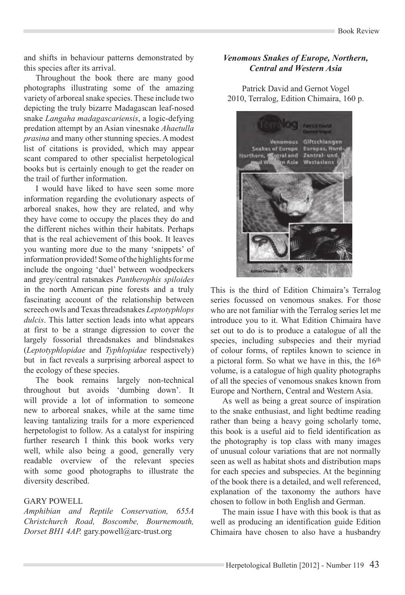and shifts in behaviour patterns demonstrated by this species after its arrival.

Throughout the book there are many good photographs illustrating some of the amazing variety of arboreal snake species. These include two depicting the truly bizarre Madagascan leaf-nosed snake *Langaha madagascariensis*, a logic-defying predation attempt by an Asian vinesnake *Ahaetulla prasina* and many other stunning species. A modest list of citations is provided, which may appear scant compared to other specialist herpetological books but is certainly enough to get the reader on the trail of further information.

I would have liked to have seen some more information regarding the evolutionary aspects of arboreal snakes, how they are related, and why they have come to occupy the places they do and the different niches within their habitats. Perhaps that is the real achievement of this book. It leaves you wanting more due to the many 'snippets' of information provided! Some of the highlights for me include the ongoing 'duel' between woodpeckers and grey/central ratsnakes *Pantherophis spiloides* in the north American pine forests and a truly fascinating account of the relationship between screech owls and Texas threadsnakes *Leptotyphlops dulcis*. This latter section leads into what appears at first to be a strange digression to cover the largely fossorial threadsnakes and blindsnakes (*Leptotyphlopidae* and *Typhlopidae* respectively) but in fact reveals a surprising arboreal aspect to the ecology of these species.

The book remains largely non-technical throughout but avoids 'dumbing down'. It will provide a lot of information to someone new to arboreal snakes, while at the same time leaving tantalizing trails for a more experienced herpetologist to follow. As a catalyst for inspiring further research I think this book works very well, while also being a good, generally very readable overview of the relevant species with some good photographs to illustrate the diversity described.

#### Gary Powell

*Amphibian and Reptile Conservation, 655A Christchurch Road, Boscombe, Bournemouth, Dorset BH1 4AP.* gary.powell@arc-trust.org

### *Venomous Snakes of Europe, Northern, Central and Western Asia*

Patrick David and Gernot Vogel 2010, Terralog, Edition Chimaira, 160 p.



This is the third of Edition Chimaira's Terralog series focussed on venomous snakes. For those who are not familiar with the Terralog series let me introduce you to it. What Edition Chimaira have set out to do is to produce a catalogue of all the species, including subspecies and their myriad of colour forms, of reptiles known to science in a pictoral form. So what we have in this, the 16th volume, is a catalogue of high quality photographs of all the species of venomous snakes known from Europe and Northern, Central and Western Asia.

As well as being a great source of inspiration to the snake enthusiast, and light bedtime reading rather than being a heavy going scholarly tome, this book is a useful aid to field identification as the photography is top class with many images of unusual colour variations that are not normally seen as well as habitat shots and distribution maps for each species and subspecies. At the beginning of the book there is a detailed, and well referenced, explanation of the taxonomy the authors have chosen to follow in both English and German.

The main issue I have with this book is that as well as producing an identification guide Edition Chimaira have chosen to also have a husbandry